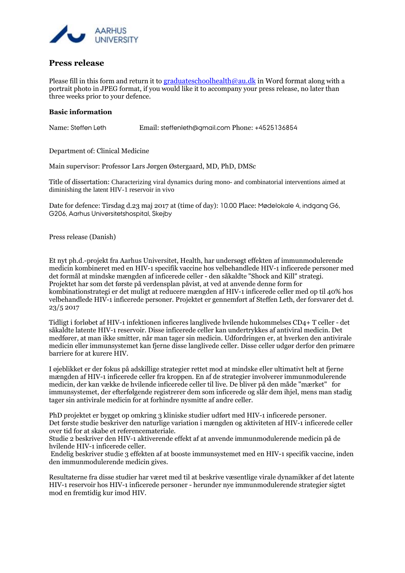

## **Press release**

Please fill in this form and return it to [graduateschoolhealth@au.dk](mailto:graduateschoolhealth@au.dk) in Word format along with a portrait photo in JPEG format, if you would like it to accompany your press release, no later than three weeks prior to your defence.

## **Basic information**

Name: Steffen Leth Email: steffenleth@gmail.com Phone: +4525136854

Department of: Clinical Medicine

Main supervisor: Professor Lars Jørgen Østergaard, MD, PhD, DMSc

Title of dissertation: Characterizing viral dynamics during mono- and combinatorial interventions aimed at diminishing the latent HIV-1 reservoir in vivo

Date for defence: Tirsdag d.23 maj 2017 at (time of day): 10.00 Place: Mødelokale 4, indgang G6, G206, Aarhus Universitetshospital, Skejby

Press release (Danish)

Et nyt ph.d.-projekt fra Aarhus Universitet, Health, har undersøgt effekten af immunmodulerende medicin kombineret med en HIV-1 specifik vaccine hos velbehandlede HIV-1 inficerede personer med det formål at mindske mængden af inficerede celler - den såkaldte "Shock and Kill" strategi. Projektet har som det første på verdensplan påvist, at ved at anvende denne form for kombinationstrategi er det muligt at reducere mængden af HIV-1 inficerede celler med op til 40% hos velbehandlede HIV-1 inficerede personer. Projektet er gennemført af Steffen Leth, der forsvarer det d. 23/5 2017

Tidligt i forløbet af HIV-1 infektionen inficeres langlivede hvilende hukommelses CD4+ T celler - det såkaldte latente HIV-1 reservoir. Disse inficerede celler kan undertrykkes af antiviral medicin. Det medfører, at man ikke smitter, når man tager sin medicin. Udfordringen er, at hverken den antivirale medicin eller immunsystemet kan fjerne disse langlivede celler. Disse celler udgør derfor den primære barriere for at kurere HIV.

I øjeblikket er der fokus på adskillige strategier rettet mod at mindske eller ultimativt helt at fjerne mængden af HIV-1 inficerede celler fra kroppen. En af de strategier involverer immunmodulerende medicin, der kan vække de hvilende inficerede celler til live. De bliver på den måde "mærket" for immunsystemet, der efterfølgende registrerer dem som inficerede og slår dem ihjel, mens man stadig tager sin antivirale medicin for at forhindre nysmitte af andre celler.

PhD projektet er bygget op omkring 3 kliniske studier udført med HIV-1 inficerede personer. Det første studie beskriver den naturlige variation i mængden og aktiviteten af HIV-1 inficerede celler over tid for at skabe et referencemateriale.

Studie 2 beskriver den HIV-1 aktiverende effekt af at anvende immunmodulerende medicin på de hvilende HIV-1 inficerede celler.

Endelig beskriver studie 3 effekten af at booste immunsystemet med en HIV-1 specifik vaccine, inden den immunmodulerende medicin gives.

Resultaterne fra disse studier har været med til at beskrive væsentlige virale dynamikker af det latente HIV-1 reservoir hos HIV-1 inficerede personer - herunder nye immunmodulerende strategier sigtet mod en fremtidig kur imod HIV.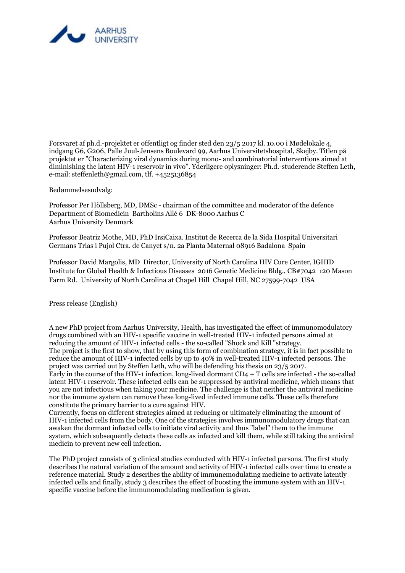

Forsvaret af ph.d.-projektet er offentligt og finder sted den 23/5 2017 kl. 10.00 i Mødelokale 4, indgang G6, G206, Palle Juul-Jensens Boulevard 99, Aarhus Universitetshospital, Skejby. Titlen på projektet er "Characterizing viral dynamics during mono- and combinatorial interventions aimed at diminishing the latent HIV-1 reservoir in vivo". Yderligere oplysninger: Ph.d.-studerende Steffen Leth, e-mail: steffenleth@gmail.com, tlf. +4525136854

Bedømmelsesudvalg:

Professor Per Höllsberg, MD, DMSc - chairman of the committee and moderator of the defence Department of Biomedicin Bartholins Allé 6 DK-8000 Aarhus C Aarhus University Denmark

Professor Beatriz Mothe, MD, PhD IrsiCaixa. Institut de Recerca de la Sida Hospital Universitari Germans Trias i Pujol Ctra. de Canyet s/n. 2a Planta Maternal 08916 Badalona Spain

Professor David Margolis, MD Director, University of North Carolina HIV Cure Center, IGHID Institute for Global Health & Infectious Diseases 2016 Genetic Medicine Bldg., CB#7042 120 Mason Farm Rd. University of North Carolina at Chapel Hill Chapel Hill, NC 27599-7042 USA

Press release (English)

A new PhD project from Aarhus University, Health, has investigated the effect of immunomodulatory drugs combined with an HIV-1 specific vaccine in well-treated HIV-1 infected persons aimed at reducing the amount of HIV-1 infected cells - the so-called "Shock and Kill "strategy. The project is the first to show, that by using this form of combination strategy, it is in fact possible to reduce the amount of HIV-1 infected cells by up to 40% in well-treated HIV-1 infected persons. The project was carried out by Steffen Leth, who will be defending his thesis on 23/5 2017. Early in the course of the HIV-1 infection, long-lived dormant CD4 + T cells are infected - the so-called latent HIV-1 reservoir. These infected cells can be suppressed by antiviral medicine, which means that you are not infectious when taking your medicine. The challenge is that neither the antiviral medicine nor the immune system can remove these long-lived infected immune cells. These cells therefore constitute the primary barrier to a cure against HIV.

Currently, focus on different strategies aimed at reducing or ultimately eliminating the amount of HIV-1 infected cells from the body. One of the strategies involves immunomodulatory drugs that can awaken the dormant infected cells to initiate viral activity and thus "label" them to the immune system, which subsequently detects these cells as infected and kill them, while still taking the antiviral medicin to prevent new cell infection.

The PhD project consists of 3 clinical studies conducted with HIV-1 infected persons. The first study describes the natural variation of the amount and activity of HIV-1 infected cells over time to create a reference material. Study 2 describes the ability of immunemodulating medicine to activate latently infected cells and finally, study 3 describes the effect of boosting the immune system with an HIV-1 specific vaccine before the immunomodulating medication is given.